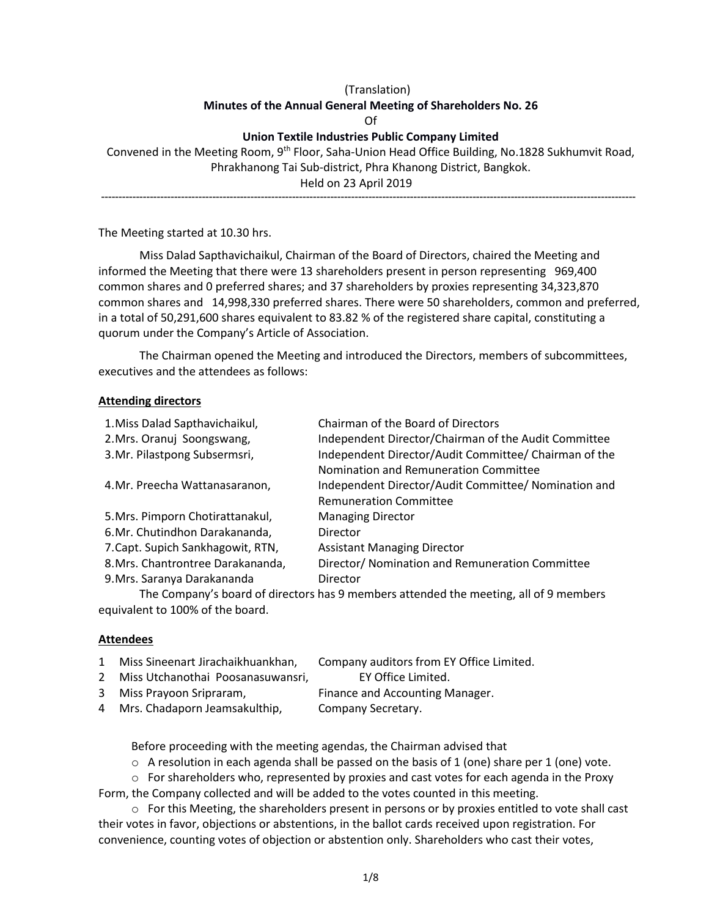# (Translation) **Minutes of the Annual General Meeting of Shareholders No. 26** Of

## **Union Textile Industries Public Company Limited**

Convened in the Meeting Room, 9<sup>th</sup> Floor, Saha-Union Head Office Building, No.1828 Sukhumvit Road, Phrakhanong Tai Sub-district, Phra Khanong District, Bangkok. Held on 23 April 2019 ----------------------------------------------------------------------------------------------------------------------------------------------------------

The Meeting started at 10.30 hrs.

Miss Dalad Sapthavichaikul, Chairman of the Board of Directors, chaired the Meeting and informed the Meeting that there were 13 shareholders present in person representing 969,400 common shares and 0 preferred shares; and 37 shareholders by proxies representing 34,323,870 common shares and 14,998,330 preferred shares. There were 50 shareholders, common and preferred, in a total of 50,291,600 shares equivalent to 83.82 % of the registered share capital, constituting a quorum under the Company's Article of Association.

The Chairman opened the Meeting and introduced the Directors, members of subcommittees, executives and the attendees as follows:

#### **Attending directors**

| 1. Miss Dalad Sapthavichaikul,    | Chairman of the Board of Directors                    |
|-----------------------------------|-------------------------------------------------------|
| 2. Mrs. Oranuj Soongswang,        | Independent Director/Chairman of the Audit Committee  |
| 3.Mr. Pilastpong Subsermsri,      | Independent Director/Audit Committee/ Chairman of the |
|                                   | Nomination and Remuneration Committee                 |
| 4. Mr. Preecha Wattanasaranon,    | Independent Director/Audit Committee/ Nomination and  |
|                                   | <b>Remuneration Committee</b>                         |
| 5. Mrs. Pimporn Chotirattanakul,  | <b>Managing Director</b>                              |
| 6.Mr. Chutindhon Darakananda,     | Director                                              |
| 7. Capt. Supich Sankhagowit, RTN, | <b>Assistant Managing Director</b>                    |
| 8. Mrs. Chantrontree Darakananda, | Director/ Nomination and Remuneration Committee       |
| 9. Mrs. Saranya Darakananda       | Director                                              |
|                                   |                                                       |

The Company's board of directors has 9 members attended the meeting, all of 9 members equivalent to 100% of the board.

## **Attendees**

| $1 \quad$ | Miss Sineenart Jirachaikhuankhan,   | Company auditors from EY Office Limited. |
|-----------|-------------------------------------|------------------------------------------|
|           | 2 Miss Utchanothai Poosanasuwansri, | EY Office Limited.                       |
|           | 3 Miss Prayoon Sripraram,           | Finance and Accounting Manager.          |
|           | 4 Mrs. Chadaporn Jeamsakulthip,     | Company Secretary.                       |

Before proceeding with the meeting agendas, the Chairman advised that

 $\circ$  A resolution in each agenda shall be passed on the basis of 1 (one) share per 1 (one) vote.

 $\circ$  For shareholders who, represented by proxies and cast votes for each agenda in the Proxy

Form, the Company collected and will be added to the votes counted in this meeting.  $\circ$  For this Meeting, the shareholders present in persons or by proxies entitled to vote shall cast their votes in favor, objections or abstentions, in the ballot cards received upon registration. For convenience, counting votes of objection or abstention only. Shareholders who cast their votes,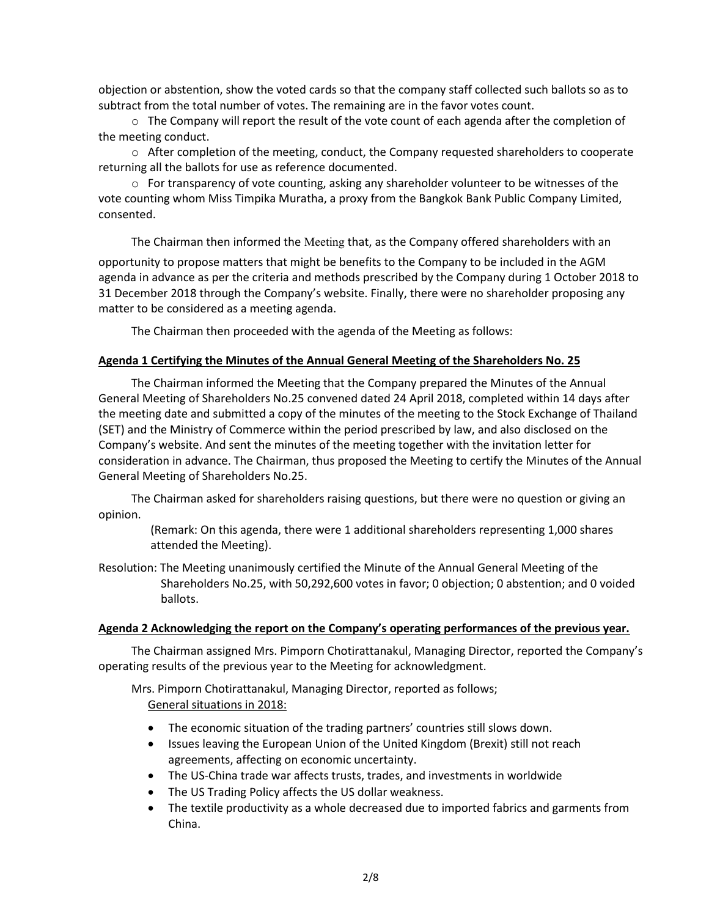objection or abstention, show the voted cards so that the company staff collected such ballots so as to subtract from the total number of votes. The remaining are in the favor votes count.

 $\circ$  The Company will report the result of the vote count of each agenda after the completion of the meeting conduct.

 $\circ$  After completion of the meeting, conduct, the Company requested shareholders to cooperate returning all the ballots for use as reference documented.

 $\circ$  For transparency of vote counting, asking any shareholder volunteer to be witnesses of the vote counting whom Miss Timpika Muratha, a proxy from the Bangkok Bank Public Company Limited, consented.

The Chairman then informed the Meeting that, as the Company offered shareholders with an opportunity to propose matters that might be benefits to the Company to be included in the AGM agenda in advance as per the criteria and methods prescribed by the Company during 1 October 2018 to 31 December 2018 through the Company's website. Finally, there were no shareholder proposing any matter to be considered as a meeting agenda.

The Chairman then proceeded with the agenda of the Meeting as follows:

## **Agenda 1 Certifying the Minutes of the Annual General Meeting of the Shareholders No. 25**

The Chairman informed the Meeting that the Company prepared the Minutes of the Annual General Meeting of Shareholders No.25 convened dated 24 April 2018, completed within 14 days after the meeting date and submitted a copy of the minutes of the meeting to the Stock Exchange of Thailand (SET) and the Ministry of Commerce within the period prescribed by law, and also disclosed on the Company's website. And sent the minutes of the meeting together with the invitation letter for consideration in advance. The Chairman, thus proposed the Meeting to certify the Minutes of the Annual General Meeting of Shareholders No.25.

The Chairman asked for shareholders raising questions, but there were no question or giving an opinion.

(Remark: On this agenda, there were 1 additional shareholders representing 1,000 shares attended the Meeting).

Resolution: The Meeting unanimously certified the Minute of the Annual General Meeting of the Shareholders No.25, with 50,292,600 votes in favor; 0 objection; 0 abstention; and 0 voided ballots.

# **Agenda 2 Acknowledging the report on the Company's operating performances of the previous year.**

The Chairman assigned Mrs. Pimporn Chotirattanakul, Managing Director, reported the Company's operating results of the previous year to the Meeting for acknowledgment.

Mrs. Pimporn Chotirattanakul, Managing Director, reported as follows; General situations in 2018:

- The economic situation of the trading partners' countries still slows down.
- Issues leaving the European Union of the United Kingdom (Brexit) still not reach agreements, affecting on economic uncertainty.
- The US-China trade war affects trusts, trades, and investments in worldwide
- The US Trading Policy affects the US dollar weakness.
- The textile productivity as a whole decreased due to imported fabrics and garments from China.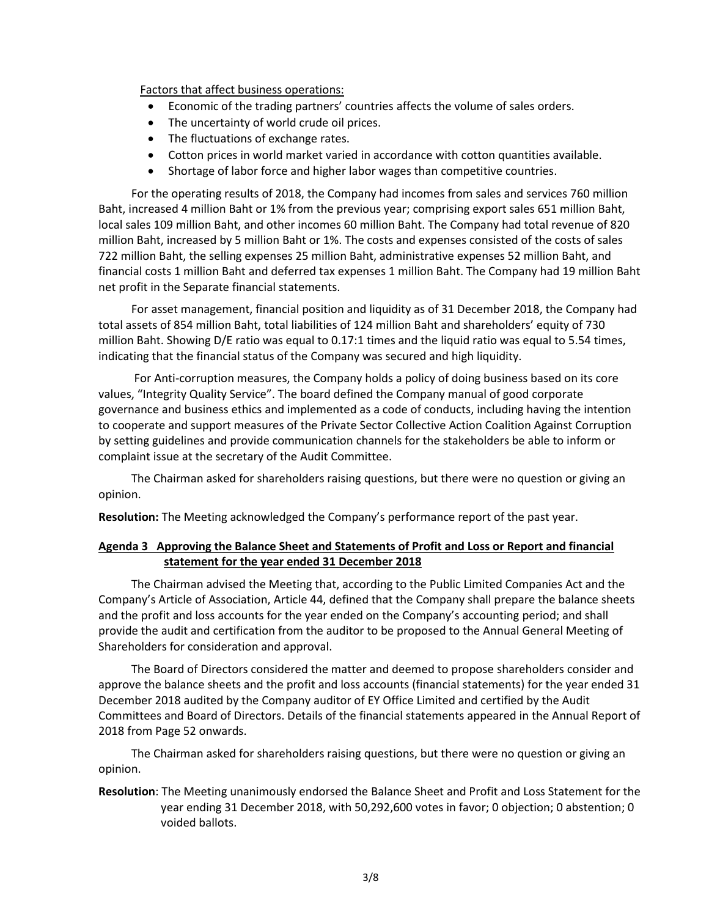Factors that affect business operations:

- Economic of the trading partners' countries affects the volume of sales orders.
- The uncertainty of world crude oil prices.
- The fluctuations of exchange rates.
- Cotton prices in world market varied in accordance with cotton quantities available.
- Shortage of labor force and higher labor wages than competitive countries.

For the operating results of 2018, the Company had incomes from sales and services 760 million Baht, increased 4 million Baht or 1% from the previous year; comprising export sales 651 million Baht, local sales 109 million Baht, and other incomes 60 million Baht. The Company had total revenue of 820 million Baht, increased by 5 million Baht or 1%. The costs and expenses consisted of the costs of sales 722 million Baht, the selling expenses 25 million Baht, administrative expenses 52 million Baht, and financial costs 1 million Baht and deferred tax expenses 1 million Baht. The Company had 19 million Baht net profit in the Separate financial statements.

For asset management, financial position and liquidity as of 31 December 2018, the Company had total assets of 854 million Baht, total liabilities of 124 million Baht and shareholders' equity of 730 million Baht. Showing D/E ratio was equal to 0.17:1 times and the liquid ratio was equal to 5.54 times, indicating that the financial status of the Company was secured and high liquidity.

For Anti-corruption measures, the Company holds a policy of doing business based on its core values, "Integrity Quality Service". The board defined the Company manual of good corporate governance and business ethics and implemented as a code of conducts, including having the intention to cooperate and support measures of the Private Sector Collective Action Coalition Against Corruption by setting guidelines and provide communication channels for the stakeholders be able to inform or complaint issue at the secretary of the Audit Committee.

The Chairman asked for shareholders raising questions, but there were no question or giving an opinion.

**Resolution:** The Meeting acknowledged the Company's performance report of the past year.

## **Agenda 3 Approving the Balance Sheet and Statements of Profit and Loss or Report and financial statement for the year ended 31 December 2018**

The Chairman advised the Meeting that, according to the Public Limited Companies Act and the Company's Article of Association, Article 44, defined that the Company shall prepare the balance sheets and the profit and loss accounts for the year ended on the Company's accounting period; and shall provide the audit and certification from the auditor to be proposed to the Annual General Meeting of Shareholders for consideration and approval.

The Board of Directors considered the matter and deemed to propose shareholders consider and approve the balance sheets and the profit and loss accounts (financial statements) for the year ended 31 December 2018 audited by the Company auditor of EY Office Limited and certified by the Audit Committees and Board of Directors. Details of the financial statements appeared in the Annual Report of 2018 from Page 52 onwards.

The Chairman asked for shareholders raising questions, but there were no question or giving an opinion.

**Resolution**: The Meeting unanimously endorsed the Balance Sheet and Profit and Loss Statement for the year ending 31 December 2018, with 50,292,600 votes in favor; 0 objection; 0 abstention; 0 voided ballots.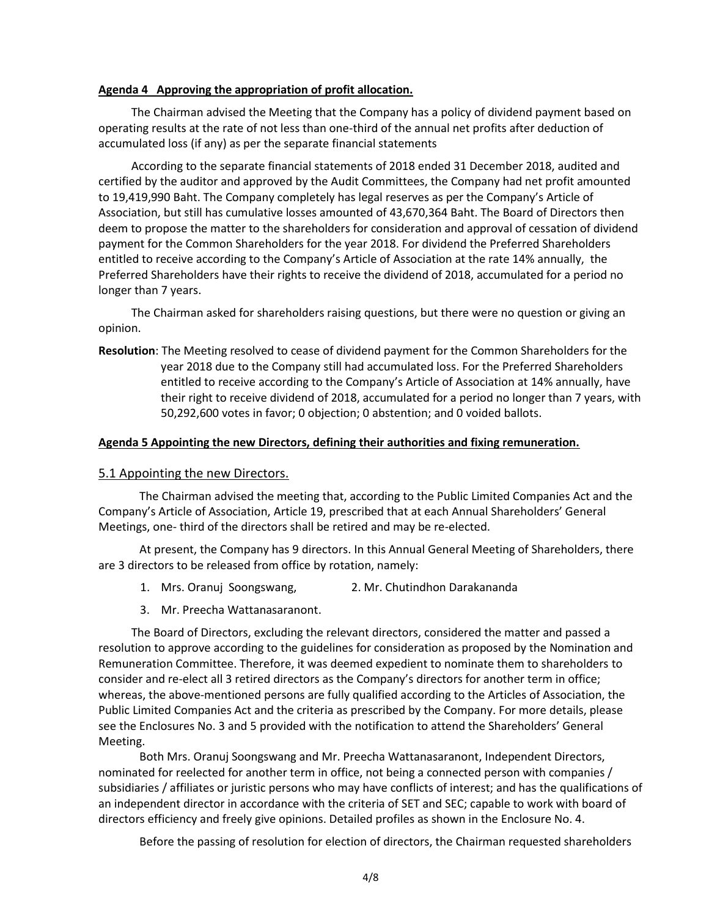#### **Agenda 4 Approving the appropriation of profit allocation.**

The Chairman advised the Meeting that the Company has a policy of dividend payment based on operating results at the rate of not less than one-third of the annual net profits after deduction of accumulated loss (if any) as per the separate financial statements

According to the separate financial statements of 2018 ended 31 December 2018, audited and certified by the auditor and approved by the Audit Committees, the Company had net profit amounted to 19,419,990 Baht. The Company completely has legal reserves as per the Company's Article of Association, but still has cumulative losses amounted of 43,670,364 Baht. The Board of Directors then deem to propose the matter to the shareholders for consideration and approval of cessation of dividend payment for the Common Shareholders for the year 2018. For dividend the Preferred Shareholders entitled to receive according to the Company's Article of Association at the rate 14% annually, the Preferred Shareholders have their rights to receive the dividend of 2018, accumulated for a period no longer than 7 years.

The Chairman asked for shareholders raising questions, but there were no question or giving an opinion.

**Resolution**: The Meeting resolved to cease of dividend payment for the Common Shareholders for the year 2018 due to the Company still had accumulated loss. For the Preferred Shareholders entitled to receive according to the Company's Article of Association at 14% annually, have their right to receive dividend of 2018, accumulated for a period no longer than 7 years, with 50,292,600 votes in favor; 0 objection; 0 abstention; and 0 voided ballots.

#### **Agenda 5 Appointing the new Directors, defining their authorities and fixing remuneration.**

## 5.1 Appointing the new Directors.

The Chairman advised the meeting that, according to the Public Limited Companies Act and the Company's Article of Association, Article 19, prescribed that at each Annual Shareholders' General Meetings, one- third of the directors shall be retired and may be re-elected.

At present, the Company has 9 directors. In this Annual General Meeting of Shareholders, there are 3 directors to be released from office by rotation, namely:

- 1. Mrs. Oranuj Soongswang, 2. Mr. Chutindhon Darakananda
- 3. Mr. Preecha Wattanasaranont.

The Board of Directors, excluding the relevant directors, considered the matter and passed a resolution to approve according to the guidelines for consideration as proposed by the Nomination and Remuneration Committee. Therefore, it was deemed expedient to nominate them to shareholders to consider and re-elect all 3 retired directors as the Company's directors for another term in office; whereas, the above-mentioned persons are fully qualified according to the Articles of Association, the Public Limited Companies Act and the criteria as prescribed by the Company. For more details, please see the Enclosures No. 3 and 5 provided with the notification to attend the Shareholders' General Meeting.

Both Mrs. Oranuj Soongswang and Mr. Preecha Wattanasaranont, Independent Directors, nominated for reelected for another term in office, not being a connected person with companies / subsidiaries / affiliates or juristic persons who may have conflicts of interest; and has the qualifications of an independent director in accordance with the criteria of SET and SEC; capable to work with board of directors efficiency and freely give opinions. Detailed profiles as shown in the Enclosure No. 4.

Before the passing of resolution for election of directors, the Chairman requested shareholders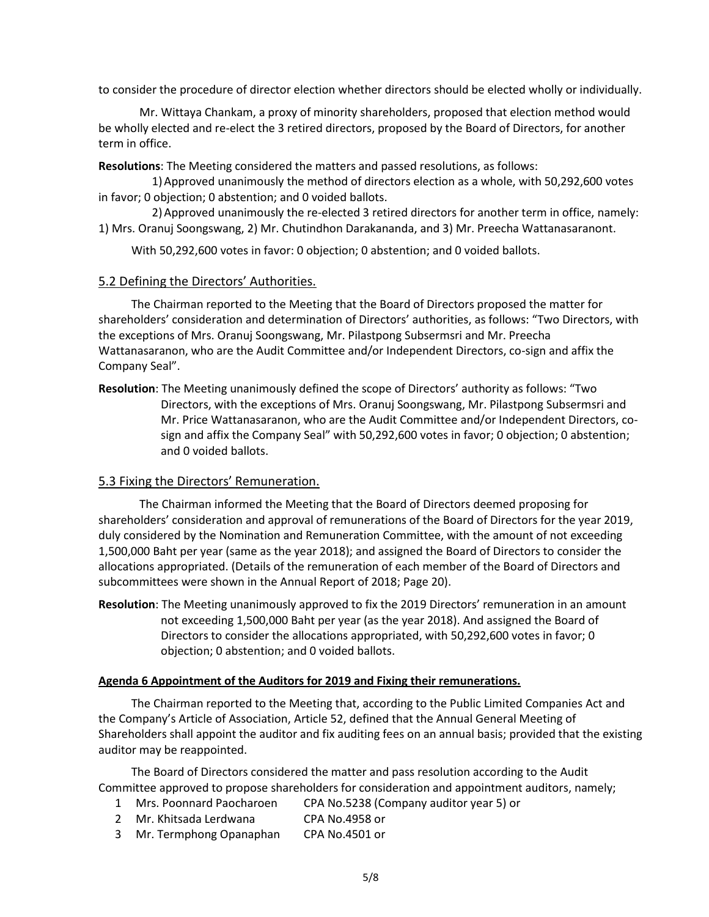to consider the procedure of director election whether directors should be elected wholly or individually.

Mr. Wittaya Chankam, a proxy of minority shareholders, proposed that election method would be wholly elected and re-elect the 3 retired directors, proposed by the Board of Directors, for another term in office.

**Resolutions**: The Meeting considered the matters and passed resolutions, as follows:

1)Approved unanimously the method of directors election as a whole, with 50,292,600 votes in favor; 0 objection; 0 abstention; and 0 voided ballots.

2)Approved unanimously the re-elected 3 retired directors for another term in office, namely: 1) Mrs. Oranuj Soongswang, 2) Mr. Chutindhon Darakananda, and 3) Mr. Preecha Wattanasaranont.

With 50,292,600 votes in favor: 0 objection; 0 abstention; and 0 voided ballots.

#### 5.2 Defining the Directors' Authorities.

The Chairman reported to the Meeting that the Board of Directors proposed the matter for shareholders' consideration and determination of Directors' authorities, as follows: "Two Directors, with the exceptions of Mrs. Oranuj Soongswang, Mr. Pilastpong Subsermsri and Mr. Preecha Wattanasaranon, who are the Audit Committee and/or Independent Directors, co-sign and affix the Company Seal".

**Resolution**: The Meeting unanimously defined the scope of Directors' authority as follows: "Two Directors, with the exceptions of Mrs. Oranuj Soongswang, Mr. Pilastpong Subsermsri and Mr. Price Wattanasaranon, who are the Audit Committee and/or Independent Directors, cosign and affix the Company Seal" with 50,292,600 votes in favor; 0 objection; 0 abstention; and 0 voided ballots.

## 5.3 Fixing the Directors' Remuneration.

The Chairman informed the Meeting that the Board of Directors deemed proposing for shareholders' consideration and approval of remunerations of the Board of Directors for the year 2019, duly considered by the Nomination and Remuneration Committee, with the amount of not exceeding 1,500,000 Baht per year (same as the year 2018); and assigned the Board of Directors to consider the allocations appropriated. (Details of the remuneration of each member of the Board of Directors and subcommittees were shown in the Annual Report of 2018; Page 20).

**Resolution**: The Meeting unanimously approved to fix the 2019 Directors' remuneration in an amount not exceeding 1,500,000 Baht per year (as the year 2018). And assigned the Board of Directors to consider the allocations appropriated, with 50,292,600 votes in favor; 0 objection; 0 abstention; and 0 voided ballots.

#### **Agenda 6 Appointment of the Auditors for 2019 and Fixing their remunerations.**

The Chairman reported to the Meeting that, according to the Public Limited Companies Act and the Company's Article of Association, Article 52, defined that the Annual General Meeting of Shareholders shall appoint the auditor and fix auditing fees on an annual basis; provided that the existing auditor may be reappointed.

The Board of Directors considered the matter and pass resolution according to the Audit Committee approved to propose shareholders for consideration and appointment auditors, namely;

- 1 Mrs. Poonnard Paocharoen CPA No.5238 (Company auditor year 5) or
- 2 Mr. Khitsada Lerdwana CPA No.4958 or
- 3 Mr. Termphong Opanaphan CPA No.4501 or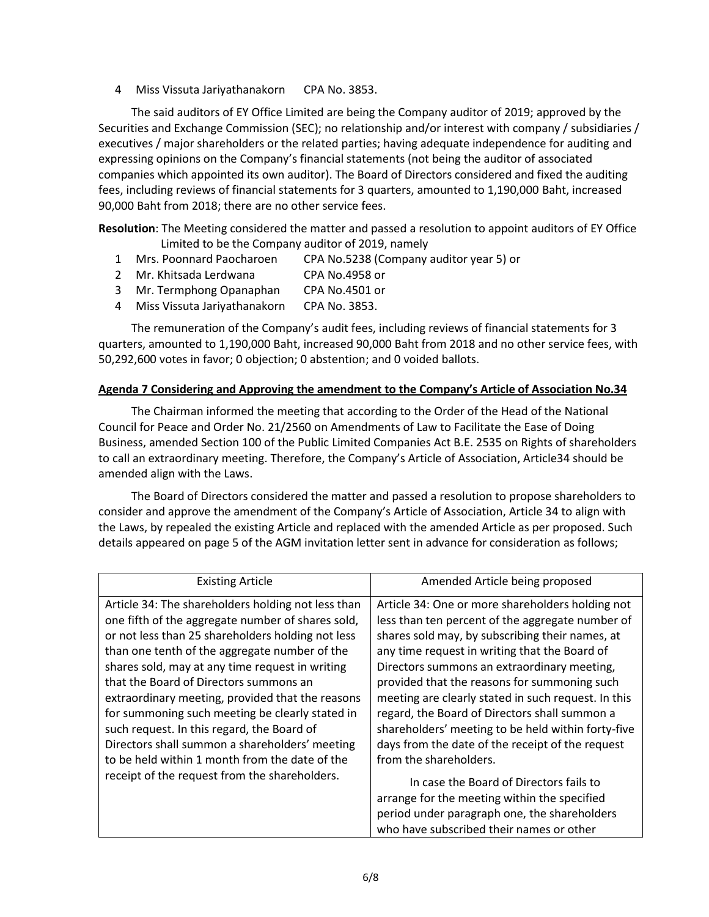4 Miss Vissuta Jariyathanakorn CPA No. 3853.

The said auditors of EY Office Limited are being the Company auditor of 2019; approved by the Securities and Exchange Commission (SEC); no relationship and/or interest with company / subsidiaries / executives / major shareholders or the related parties; having adequate independence for auditing and expressing opinions on the Company's financial statements (not being the auditor of associated companies which appointed its own auditor). The Board of Directors considered and fixed the auditing fees, including reviews of financial statements for 3 quarters, amounted to 1,190,000 Baht, increased 90,000 Baht from 2018; there are no other service fees.

**Resolution**: The Meeting considered the matter and passed a resolution to appoint auditors of EY Office Limited to be the Company auditor of 2019, namely

- 1 Mrs. Poonnard Paocharoen CPA No.5238 (Company auditor year 5) or
- 2 Mr. Khitsada Lerdwana CPA No.4958 or
- 3 Mr. Termphong Opanaphan CPA No.4501 or
- 4 Miss Vissuta Jariyathanakorn CPA No. 3853.

The remuneration of the Company's audit fees, including reviews of financial statements for 3 quarters, amounted to 1,190,000 Baht, increased 90,000 Baht from 2018 and no other service fees, with 50,292,600 votes in favor; 0 objection; 0 abstention; and 0 voided ballots.

## **Agenda 7 Considering and Approving the amendment to the Company's Article of Association No.34**

The Chairman informed the meeting that according to the Order of the Head of the National Council for Peace and Order No. 21/2560 on Amendments of Law to Facilitate the Ease of Doing Business, amended Section 100 of the Public Limited Companies Act B.E. 2535 on Rights of shareholders to call an extraordinary meeting. Therefore, the Company's Article of Association, Article34 should be amended align with the Laws.

The Board of Directors considered the matter and passed a resolution to propose shareholders to consider and approve the amendment of the Company's Article of Association, Article 34 to align with the Laws, by repealed the existing Article and replaced with the amended Article as per proposed. Such details appeared on page 5 of the AGM invitation letter sent in advance for consideration as follows;

| <b>Existing Article</b>                                                                                                                                                                                                                                                                                                                                                                                                                                                                                                                                                                                              | Amended Article being proposed                                                                                                                                                                                                                                                                                                                                                                                                                                                                                                                                                                                                                                                                 |
|----------------------------------------------------------------------------------------------------------------------------------------------------------------------------------------------------------------------------------------------------------------------------------------------------------------------------------------------------------------------------------------------------------------------------------------------------------------------------------------------------------------------------------------------------------------------------------------------------------------------|------------------------------------------------------------------------------------------------------------------------------------------------------------------------------------------------------------------------------------------------------------------------------------------------------------------------------------------------------------------------------------------------------------------------------------------------------------------------------------------------------------------------------------------------------------------------------------------------------------------------------------------------------------------------------------------------|
| Article 34: The shareholders holding not less than<br>one fifth of the aggregate number of shares sold,<br>or not less than 25 shareholders holding not less<br>than one tenth of the aggregate number of the<br>shares sold, may at any time request in writing<br>that the Board of Directors summons an<br>extraordinary meeting, provided that the reasons<br>for summoning such meeting be clearly stated in<br>such request. In this regard, the Board of<br>Directors shall summon a shareholders' meeting<br>to be held within 1 month from the date of the<br>receipt of the request from the shareholders. | Article 34: One or more shareholders holding not<br>less than ten percent of the aggregate number of<br>shares sold may, by subscribing their names, at<br>any time request in writing that the Board of<br>Directors summons an extraordinary meeting,<br>provided that the reasons for summoning such<br>meeting are clearly stated in such request. In this<br>regard, the Board of Directors shall summon a<br>shareholders' meeting to be held within forty-five<br>days from the date of the receipt of the request<br>from the shareholders.<br>In case the Board of Directors fails to<br>arrange for the meeting within the specified<br>period under paragraph one, the shareholders |
|                                                                                                                                                                                                                                                                                                                                                                                                                                                                                                                                                                                                                      | who have subscribed their names or other                                                                                                                                                                                                                                                                                                                                                                                                                                                                                                                                                                                                                                                       |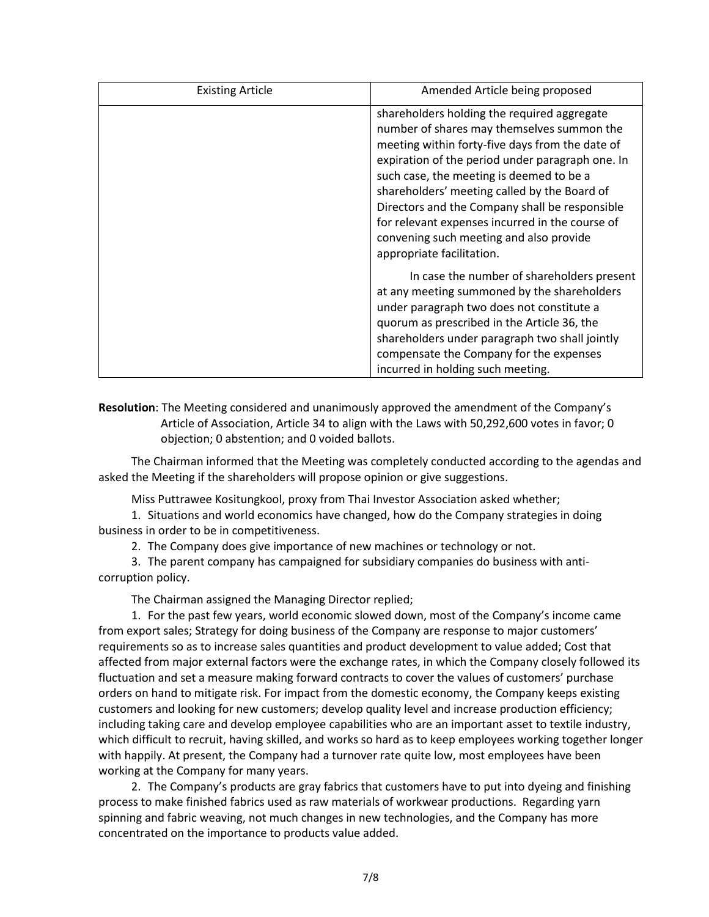| <b>Existing Article</b> | Amended Article being proposed                                                                                                                                                                                                                                                                                                                                                                                                                                            |
|-------------------------|---------------------------------------------------------------------------------------------------------------------------------------------------------------------------------------------------------------------------------------------------------------------------------------------------------------------------------------------------------------------------------------------------------------------------------------------------------------------------|
|                         | shareholders holding the required aggregate<br>number of shares may themselves summon the<br>meeting within forty-five days from the date of<br>expiration of the period under paragraph one. In<br>such case, the meeting is deemed to be a<br>shareholders' meeting called by the Board of<br>Directors and the Company shall be responsible<br>for relevant expenses incurred in the course of<br>convening such meeting and also provide<br>appropriate facilitation. |
|                         | In case the number of shareholders present<br>at any meeting summoned by the shareholders<br>under paragraph two does not constitute a<br>quorum as prescribed in the Article 36, the<br>shareholders under paragraph two shall jointly<br>compensate the Company for the expenses<br>incurred in holding such meeting.                                                                                                                                                   |

**Resolution**: The Meeting considered and unanimously approved the amendment of the Company's Article of Association, Article 34 to align with the Laws with 50,292,600 votes in favor; 0 objection; 0 abstention; and 0 voided ballots.

The Chairman informed that the Meeting was completely conducted according to the agendas and asked the Meeting if the shareholders will propose opinion or give suggestions.

Miss Puttrawee Kositungkool, proxy from Thai Investor Association asked whether;

1. Situations and world economics have changed, how do the Company strategies in doing business in order to be in competitiveness.

2. The Company does give importance of new machines or technology or not.

3. The parent company has campaigned for subsidiary companies do business with anticorruption policy.

The Chairman assigned the Managing Director replied;

1. For the past few years, world economic slowed down, most of the Company's income came from export sales; Strategy for doing business of the Company are response to major customers' requirements so as to increase sales quantities and product development to value added; Cost that affected from major external factors were the exchange rates, in which the Company closely followed its fluctuation and set a measure making forward contracts to cover the values of customers' purchase orders on hand to mitigate risk. For impact from the domestic economy, the Company keeps existing customers and looking for new customers; develop quality level and increase production efficiency; including taking care and develop employee capabilities who are an important asset to textile industry, which difficult to recruit, having skilled, and works so hard as to keep employees working together longer with happily. At present, the Company had a turnover rate quite low, most employees have been working at the Company for many years.

2. The Company's products are gray fabrics that customers have to put into dyeing and finishing process to make finished fabrics used as raw materials of workwear productions. Regarding yarn spinning and fabric weaving, not much changes in new technologies, and the Company has more concentrated on the importance to products value added.